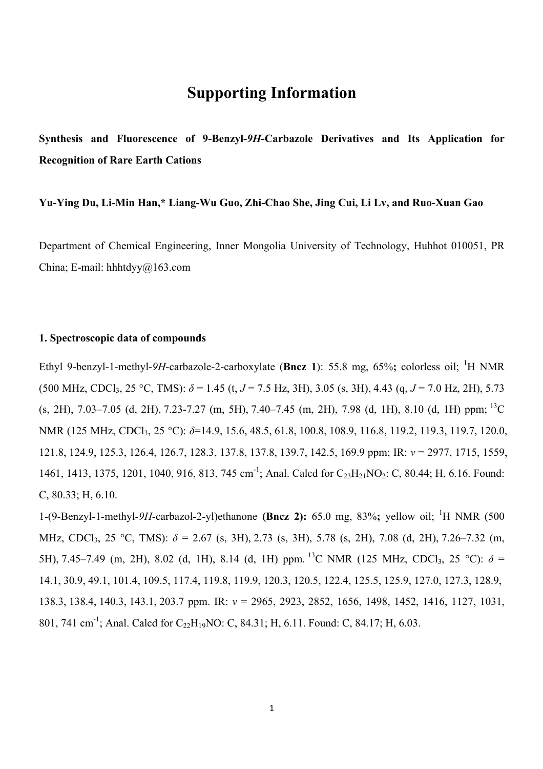## **Supporting Information**

**Synthesis and Fluorescence of 9-Benzyl-***9H***-Carbazole Derivatives and Its Application for Recognition of Rare Earth Cations**

## **Yu-Ying Du, Li-Min Han,\* Liang-Wu Guo, Zhi-Chao She, Jing Cui, Li Lv, and Ruo-Xuan Gao**

Department of Chemical Engineering, Inner Mongolia University of Technology, Huhhot 010051, PR China; E-mail: hhhtdyy@163.com

## **1. Spectroscopic data of compounds**

Ethyl 9-benzyl-1-methyl-9H-carbazole-2-carboxylate (Bncz 1): 55.8 mg, 65%; colorless oil; <sup>1</sup>H NMR (500 MHz, CDCl<sub>3</sub>, 25 °C, TMS):  $\delta$  = 1.45 (t, *J* = 7.5 Hz, 3H), 3.05 (s, 3H), 4.43 (g, *J* = 7.0 Hz, 2H), 5.73  $\mu$  (s, 2H), 7.03–7.05 (d, 2H), 7.23-7.27 (m, 5H), 7.40–7.45 (m, 2H), 7.98 (d, 1H), 8.10 (d, 1H) ppm; <sup>13</sup>C NMR (125 MHz, CDCl<sub>3</sub>, 25 °C): *δ*=14.9, 15.6, 48.5, 61.8, 100.8, 108.9, 116.8, 119.2, 119.3, 119.7, 120.0, 121.8, 124.9, 125.3, 126.4, 126.7, 128.3, 137.8, 137.8, 139.7, 142.5, 169.9 ppm; IR: *v* = 2977, 1715, 1559, 1461, 1413, 1375, 1201, 1040, 916, 813, 745 cm<sup>-1</sup>; Anal. Calcd for C<sub>23</sub>H<sub>21</sub>NO<sub>2</sub>: C, 80.44; H, 6.16. Found: C, 80.33; H, 6.10.

1-(9-Benzyl-1-methyl-9H-carbazol-2-yl)ethanone **(Bncz 2):** 65.0 mg, 83%; yellow oil; <sup>1</sup>H NMR (500) MHz, CDCl<sub>3</sub>, 25 °C, TMS):  $\delta$  = 2.67 (s, 3H), 2.73 (s, 3H), 5.78 (s, 2H), 7.08 (d, 2H), 7.26–7.32 (m, 5H), 7.45–7.49 (m, 2H), 8.02 (d, 1H), 8.14 (d, 1H) ppm. <sup>13</sup>C NMR (125 MHz, CDCl<sub>3</sub>, 25 °C):  $\delta$  = 14.1, 30.9, 49.1, 101.4, 109.5, 117.4, 119.8, 119.9, 120.3, 120.5, 122.4, 125.5, 125.9, 127.0, 127.3, 128.9, 138.3, 138.4, 140.3, 143.1, 203.7 ppm. IR: *v* = 2965, 2923, 2852, 1656, 1498, 1452, 1416, 1127, 1031, 801, 741 cm<sup>-1</sup>; Anal. Calcd for C<sub>22</sub>H<sub>19</sub>NO: C, 84.31; H, 6.11. Found: C, 84.17; H, 6.03.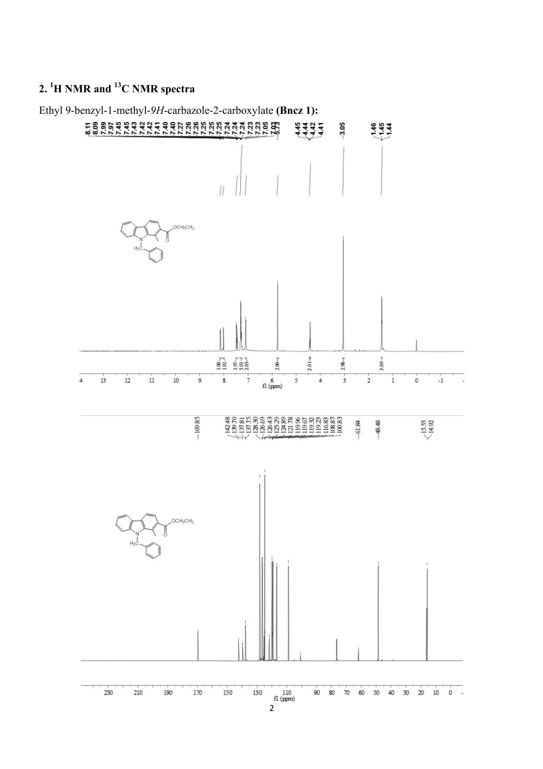## **2. 1 H NMR and 13C NMR spectra**